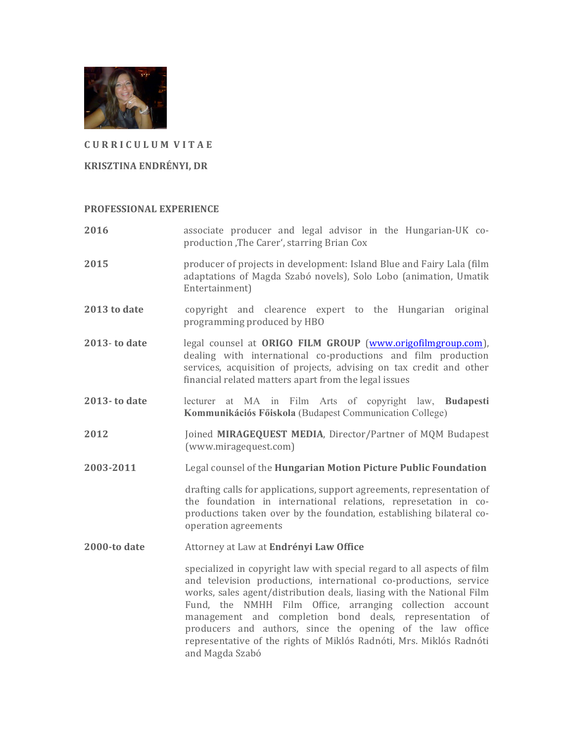

### **C U R R I C U L U M V I T A E**

#### **KRISZTINA ENDRÉNYI, DR**

#### **PROFESSIONAL EXPERIENCE**

**2016 associate** producer and legal advisor in the Hungarian-UK coproduction , The Carer', starring Brian Cox **2015 producer of projects in development:** Island Blue and Fairy Lala (film adaptations of Magda Szabó novels), Solo Lobo (animation, Umatik Entertainment) **2013 to date** copyright and clearence expert to the Hungarian original programming produced by HBO **2013- to date** legal counsel at **ORIGO FILM GROUP** (www.origofilmgroup.com), dealing with international co-productions and film production services, acquisition of projects, advising on tax credit and other financial related matters apart from the legal issues **2013- to date** lecturer at MA in Film Arts of copyright law, **Budapesti Kommunikációs Főiskola** (Budapest Communication College) **2012 Joined MIRAGEQUEST MEDIA**, Director/Partner of MQM Budapest (www.miragequest.com) **2003-2011** Legal counsel of the **Hungarian Motion Picture Public Foundation** drafting calls for applications, support agreements, representation of the foundation in international relations, represetation in coproductions taken over by the foundation, establishing bilateral cooperation agreements **2000-to date** Attorney at Law at **Endrényi Law Office** specialized in copyright law with special regard to all aspects of film and television productions, international co-productions, service works, sales agent/distribution deals, liasing with the National Film Fund, the NMHH Film Office, arranging collection account management and completion bond deals, representation of producers and authors, since the opening of the law office representative of the rights of Miklós Radnóti, Mrs. Miklós Radnóti

and Magda Szabó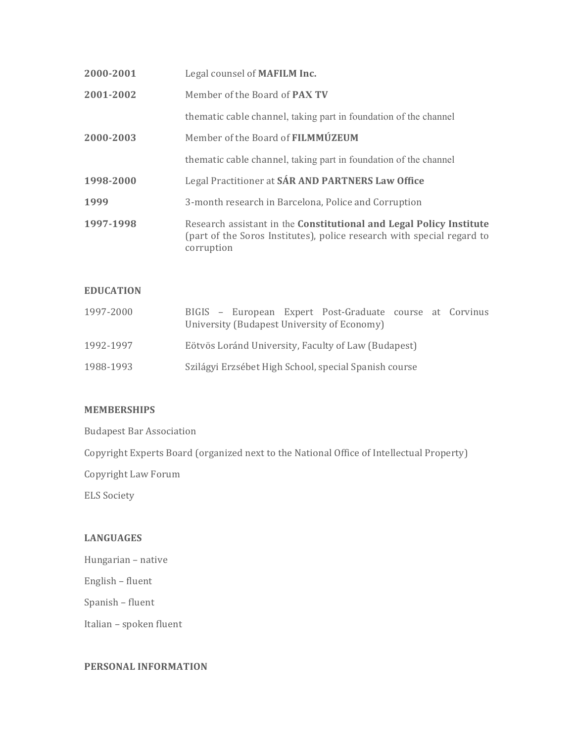| 2000-2001 | Legal counsel of <b>MAFILM Inc.</b>                                                                                                                         |
|-----------|-------------------------------------------------------------------------------------------------------------------------------------------------------------|
| 2001-2002 | Member of the Board of <b>PAX TV</b>                                                                                                                        |
|           | thematic cable channel, taking part in foundation of the channel                                                                                            |
| 2000-2003 | Member of the Board of FILMMÚZEUM                                                                                                                           |
|           | thematic cable channel, taking part in foundation of the channel                                                                                            |
| 1998-2000 | Legal Practitioner at SÁR AND PARTNERS Law Office                                                                                                           |
| 1999      | 3-month research in Barcelona, Police and Corruption                                                                                                        |
| 1997-1998 | Research assistant in the Constitutional and Legal Policy Institute<br>(part of the Soros Institutes), police research with special regard to<br>corruption |

# **EDUCATION**

| 1997-2000 | BIGIS - European Expert Post-Graduate course at Corvinus<br>University (Budapest University of Economy) |
|-----------|---------------------------------------------------------------------------------------------------------|
| 1992-1997 | Eötvös Loránd University, Faculty of Law (Budapest)                                                     |
| 1988-1993 | Szilágyi Erzsébet High School, special Spanish course                                                   |

## **MEMBERSHIPS**

**Budapest Bar Association** 

Copyright Experts Board (organized next to the National Office of Intellectual Property)

Copyright Law Forum

ELS Society

# **LANGUAGES**

Hungarian - native

English – fluent

Spanish - fluent

Italian - spoken fluent

## **PERSONAL INFORMATION**